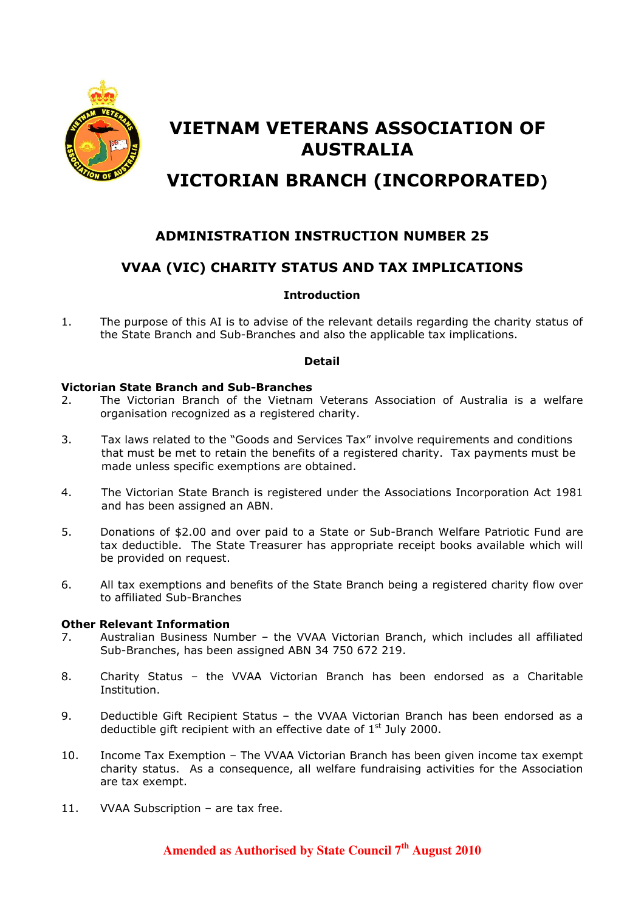

# VIETNAM VETERANS ASSOCIATION OF AUSTRALIA

# VICTORIAN BRANCH (INCORPORATED)

# ADMINISTRATION INSTRUCTION NUMBER 25

# VVAA (VIC) CHARITY STATUS AND TAX IMPLICATIONS

#### Introduction

1. The purpose of this AI is to advise of the relevant details regarding the charity status of the State Branch and Sub-Branches and also the applicable tax implications.

#### Detail

#### Victorian State Branch and Sub-Branches

- 2. The Victorian Branch of the Vietnam Veterans Association of Australia is a welfare organisation recognized as a registered charity.
- 3. Tax laws related to the "Goods and Services Tax" involve requirements and conditions that must be met to retain the benefits of a registered charity. Tax payments must be made unless specific exemptions are obtained.
- 4. The Victorian State Branch is registered under the Associations Incorporation Act 1981 and has been assigned an ABN.
- 5. Donations of \$2.00 and over paid to a State or Sub-Branch Welfare Patriotic Fund are tax deductible. The State Treasurer has appropriate receipt books available which will be provided on request.
- 6. All tax exemptions and benefits of the State Branch being a registered charity flow over to affiliated Sub-Branches

#### Other Relevant Information

- 7. Australian Business Number the VVAA Victorian Branch, which includes all affiliated Sub-Branches, has been assigned ABN 34 750 672 219.
- 8. Charity Status the VVAA Victorian Branch has been endorsed as a Charitable Institution.
- 9. Deductible Gift Recipient Status the VVAA Victorian Branch has been endorsed as a deductible gift recipient with an effective date of  $1<sup>st</sup>$  July 2000.
- 10. Income Tax Exemption The VVAA Victorian Branch has been given income tax exempt charity status. As a consequence, all welfare fundraising activities for the Association are tax exempt.
- 11. VVAA Subscription are tax free.

### **Amended as Authorised by State Council 7th August 2010**